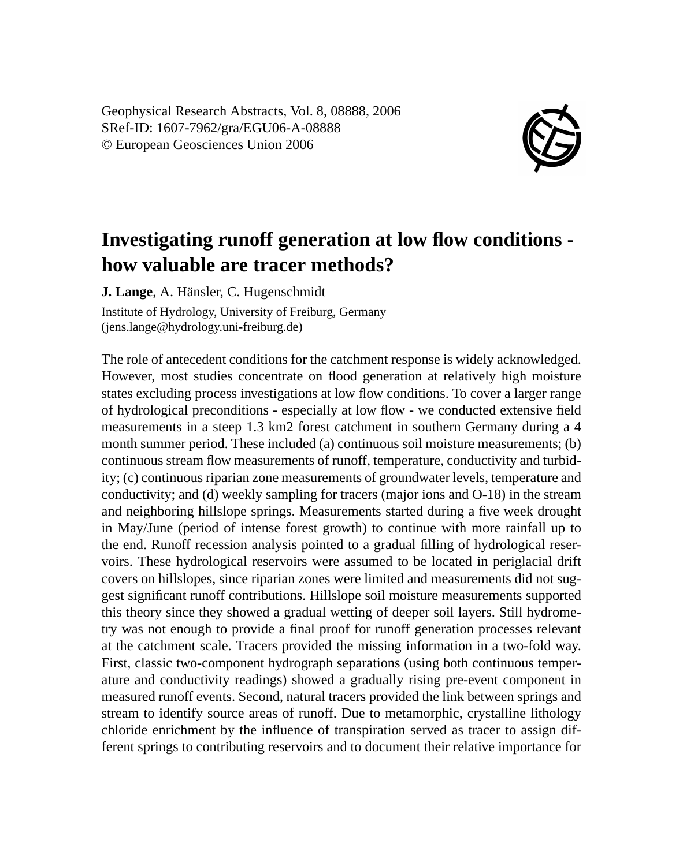Geophysical Research Abstracts, Vol. 8, 08888, 2006 SRef-ID: 1607-7962/gra/EGU06-A-08888 © European Geosciences Union 2006



## **Investigating runoff generation at low flow conditions how valuable are tracer methods?**

**J. Lange**, A. Hänsler, C. Hugenschmidt

Institute of Hydrology, University of Freiburg, Germany (jens.lange@hydrology.uni-freiburg.de)

The role of antecedent conditions for the catchment response is widely acknowledged. However, most studies concentrate on flood generation at relatively high moisture states excluding process investigations at low flow conditions. To cover a larger range of hydrological preconditions - especially at low flow - we conducted extensive field measurements in a steep 1.3 km2 forest catchment in southern Germany during a 4 month summer period. These included (a) continuous soil moisture measurements; (b) continuous stream flow measurements of runoff, temperature, conductivity and turbidity; (c) continuous riparian zone measurements of groundwater levels, temperature and conductivity; and (d) weekly sampling for tracers (major ions and O-18) in the stream and neighboring hillslope springs. Measurements started during a five week drought in May/June (period of intense forest growth) to continue with more rainfall up to the end. Runoff recession analysis pointed to a gradual filling of hydrological reservoirs. These hydrological reservoirs were assumed to be located in periglacial drift covers on hillslopes, since riparian zones were limited and measurements did not suggest significant runoff contributions. Hillslope soil moisture measurements supported this theory since they showed a gradual wetting of deeper soil layers. Still hydrometry was not enough to provide a final proof for runoff generation processes relevant at the catchment scale. Tracers provided the missing information in a two-fold way. First, classic two-component hydrograph separations (using both continuous temperature and conductivity readings) showed a gradually rising pre-event component in measured runoff events. Second, natural tracers provided the link between springs and stream to identify source areas of runoff. Due to metamorphic, crystalline lithology chloride enrichment by the influence of transpiration served as tracer to assign different springs to contributing reservoirs and to document their relative importance for